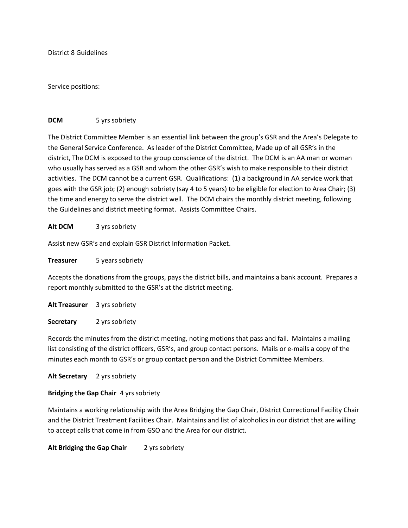District 8 Guidelines

Service positions:

## **DCM** 5 yrs sobriety

The District Committee Member is an essential link between the group's GSR and the Area's Delegate to the General Service Conference. As leader of the District Committee, Made up of all GSR's in the district, The DCM is exposed to the group conscience of the district. The DCM is an AA man or woman who usually has served as a GSR and whom the other GSR's wish to make responsible to their district activities. The DCM cannot be a current GSR. Qualifications: (1) a background in AA service work that goes with the GSR job; (2) enough sobriety (say 4 to 5 years) to be eligible for election to Area Chair; (3) the time and energy to serve the district well. The DCM chairs the monthly district meeting, following the Guidelines and district meeting format. Assists Committee Chairs.

## **Alt DCM** 3 yrs sobriety

Assist new GSR's and explain GSR District Information Packet.

**Treasurer** 5 years sobriety

Accepts the donations from the groups, pays the district bills, and maintains a bank account. Prepares a report monthly submitted to the GSR's at the district meeting.

**Alt Treasurer** 3 yrs sobriety

**Secretary** 2 yrs sobriety

Records the minutes from the district meeting, noting motions that pass and fail. Maintains a mailing list consisting of the district officers, GSR's, and group contact persons. Mails or e-mails a copy of the minutes each month to GSR's or group contact person and the District Committee Members.

**Alt Secretary** 2 yrs sobriety

# **Bridging the Gap Chair** 4 yrs sobriety

Maintains a working relationship with the Area Bridging the Gap Chair, District Correctional Facility Chair and the District Treatment Facilities Chair. Maintains and list of alcoholics in our district that are willing to accept calls that come in from GSO and the Area for our district.

Alt Bridging the Gap Chair 2 yrs sobriety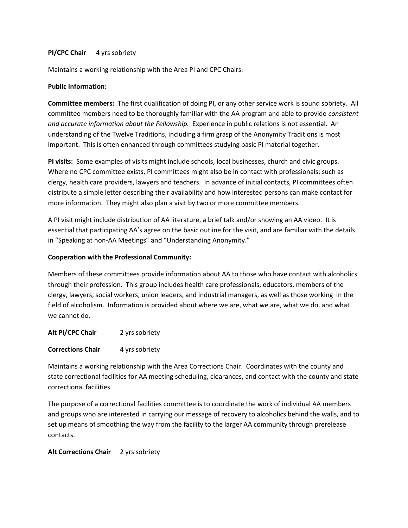#### **PI/CPC Chair** 4 yrs sobriety

Maintains a working relationship with the Area PI and CPC Chairs.

## **Public Information:**

**Committee members:** The first qualification of doing PI, or any other service work is sound sobriety. All committee members need to be thoroughly familiar with the AA program and able to provide *consistent and accurate information about the Fellowship.* Experience in public relations is not essential. An understanding of the Twelve Traditions, including a firm grasp of the Anonymity Traditions is most important. This is often enhanced through committees studying basic PI material together.

**PI visits:** Some examples of visits might include schools, local businesses, church and civic groups. Where no CPC committee exists, PI committees might also be in contact with professionals; such as clergy, health care providers, lawyers and teachers. In advance of initial contacts, PI committees often distribute a simple letter describing their availability and how interested persons can make contact for more information. They might also plan a visit by two or more committee members.

A PI visit might include distribution of AA literature, a brief talk and/or showing an AA video. It is essential that participating AA's agree on the basic outline for the visit, and are familiar with the details in "Speaking at non-AA Meetings" and "Understanding Anonymity."

#### **Cooperation with the Professional Community:**

Members of these committees provide information about AA to those who have contact with alcoholics through their profession. This group includes health care professionals, educators, members of the clergy, lawyers, social workers, union leaders, and industrial managers, as well as those working in the field of alcoholism. Information is provided about where we are, what we are, what we do, and what we cannot do.

**Alt PI/CPC Chair** 2 yrs sobriety

**Corrections Chair** 4 yrs sobriety

Maintains a working relationship with the Area Corrections Chair. Coordinates with the county and state correctional facilities for AA meeting scheduling, clearances, and contact with the county and state correctional facilities.

The purpose of a correctional facilities committee is to coordinate the work of individual AA members and groups who are interested in carrying our message of recovery to alcoholics behind the walls, and to set up means of smoothing the way from the facility to the larger AA community through prerelease contacts.

## **Alt Corrections Chair** 2 yrs sobriety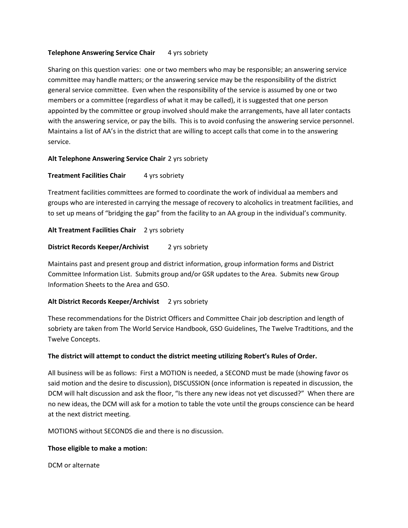# **Telephone Answering Service Chair** 4 yrs sobriety

Sharing on this question varies: one or two members who may be responsible; an answering service committee may handle matters; or the answering service may be the responsibility of the district general service committee. Even when the responsibility of the service is assumed by one or two members or a committee (regardless of what it may be called), it is suggested that one person appointed by the committee or group involved should make the arrangements, have all later contacts with the answering service, or pay the bills. This is to avoid confusing the answering service personnel. Maintains a list of AA's in the district that are willing to accept calls that come in to the answering service.

# **Alt Telephone Answering Service Chair** 2 yrs sobriety

# **Treatment Facilities Chair** 4 yrs sobriety

Treatment facilities committees are formed to coordinate the work of individual aa members and groups who are interested in carrying the message of recovery to alcoholics in treatment facilities, and to set up means of "bridging the gap" from the facility to an AA group in the individual's community.

# Alt Treatment Facilities Chair 2 yrs sobriety

## **District Records Keeper/Archivist** 2 yrs sobriety

Maintains past and present group and district information, group information forms and District Committee Information List. Submits group and/or GSR updates to the Area. Submits new Group Information Sheets to the Area and GSO.

## Alt District Records Keeper/Archivist 2 yrs sobriety

These recommendations for the District Officers and Committee Chair job description and length of sobriety are taken from The World Service Handbook, GSO Guidelines, The Twelve Tradtitions, and the Twelve Concepts.

## **The district will attempt to conduct the district meeting utilizing Robert's Rules of Order.**

All business will be as follows: First a MOTION is needed, a SECOND must be made (showing favor os said motion and the desire to discussion), DISCUSSION (once information is repeated in discussion, the DCM will halt discussion and ask the floor, "Is there any new ideas not yet discussed?" When there are no new ideas, the DCM will ask for a motion to table the vote until the groups conscience can be heard at the next district meeting.

MOTIONS without SECONDS die and there is no discussion.

## **Those eligible to make a motion:**

DCM or alternate